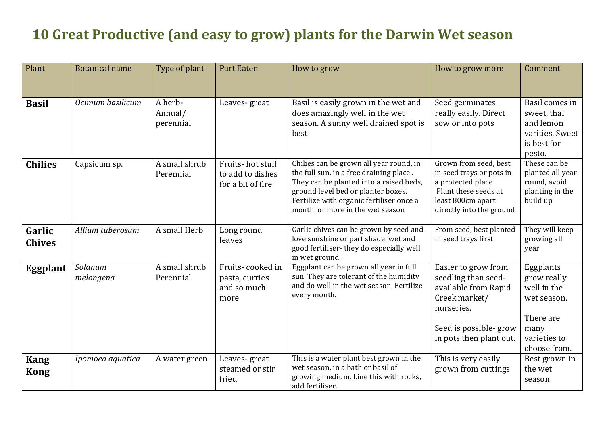## **10** Great Productive (and easy to grow) plants for the Darwin Wet season

| Plant                      | <b>Botanical name</b> | Type of plant                   | <b>Part Eaten</b>                                         | How to grow                                                                                                                                                                                                                                        | How to grow more                                                                                                                                      | Comment                                                                                                     |
|----------------------------|-----------------------|---------------------------------|-----------------------------------------------------------|----------------------------------------------------------------------------------------------------------------------------------------------------------------------------------------------------------------------------------------------------|-------------------------------------------------------------------------------------------------------------------------------------------------------|-------------------------------------------------------------------------------------------------------------|
| <b>Basil</b>               | Ocimum basilicum      | A herb-<br>Annual/<br>perennial | Leaves-great                                              | Basil is easily grown in the wet and<br>does amazingly well in the wet<br>season. A sunny well drained spot is<br>best                                                                                                                             | Seed germinates<br>really easily. Direct<br>sow or into pots                                                                                          | Basil comes in<br>sweet, thai<br>and lemon<br>varities. Sweet<br>is best for<br>pesto.                      |
| <b>Chilies</b>             | Capsicum sp.          | A small shrub<br>Perennial      | Fruits-hot stuff<br>to add to dishes<br>for a bit of fire | Chilies can be grown all year round, in<br>the full sun, in a free draining place<br>They can be planted into a raised beds,<br>ground level bed or planter boxes.<br>Fertilize with organic fertiliser once a<br>month, or more in the wet season | Grown from seed, best<br>in seed trays or pots in<br>a protected place<br>Plant these seeds at<br>least 800cm apart<br>directly into the ground       | These can be<br>planted all year<br>round, avoid<br>planting in the<br>build up                             |
| Garlic<br><b>Chives</b>    | Allium tuberosum      | A small Herb                    | Long round<br>leaves                                      | Garlic chives can be grown by seed and<br>love sunshine or part shade, wet and<br>good fertiliser-they do especially well<br>in wet ground.                                                                                                        | From seed, best planted<br>in seed trays first.                                                                                                       | They will keep<br>growing all<br>year                                                                       |
| Eggplant                   | Solanum<br>melongena  | A small shrub<br>Perennial      | Fruits-cooked in<br>pasta, curries<br>and so much<br>more | Eggplant can be grown all year in full<br>sun. They are tolerant of the humidity<br>and do well in the wet season. Fertilize<br>every month.                                                                                                       | Easier to grow from<br>seedling than seed-<br>available from Rapid<br>Creek market/<br>nurseries.<br>Seed is possible-grow<br>in pots then plant out. | Eggplants<br>grow really<br>well in the<br>wet season.<br>There are<br>many<br>varieties to<br>choose from. |
| <b>Kang</b><br><b>Kong</b> | Ipomoea aquatica      | A water green                   | Leaves-great<br>steamed or stir<br>fried                  | This is a water plant best grown in the<br>wet season, in a bath or basil of<br>growing medium. Line this with rocks,<br>add fertiliser.                                                                                                           | This is very easily<br>grown from cuttings                                                                                                            | Best grown in<br>the wet<br>season                                                                          |